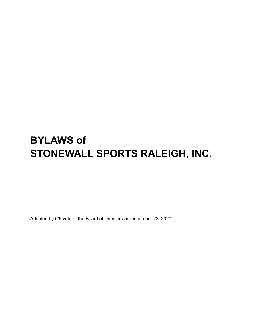# **BYLAWS of STONEWALL SPORTS RALEIGH, INC.**

Adopted by 5/5 vote of the Board of Directors on December 22, 2020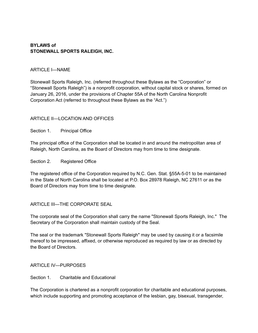#### **BYLAWS of STONEWALL SPORTS RALEIGH, INC.**

#### ARTICLE I—NAME

Stonewall Sports Raleigh, Inc. (referred throughout these Bylaws as the "Corporation" or "Stonewall Sports Raleigh") is a nonprofit corporation, without capital stock or shares, formed on January 26, 2016, under the provisions of Chapter 55A of the North Carolina Nonprofit Corporation Act (referred to throughout these Bylaws as the "Act.")

#### ARTICLE II—LOCATION AND OFFICES

Section 1. Principal Office

The principal office of the Corporation shall be located in and around the metropolitan area of Raleigh, North Carolina, as the Board of Directors may from time to time designate.

Section 2. Registered Office

The registered office of the Corporation required by N.C. Gen. Stat. §55A-5-01 to be maintained in the State of North Carolina shall be located at P.O. Box 28978 Raleigh, NC 27611 or as the Board of Directors may from time to time designate.

ARTICLE III—THE CORPORATE SEAL

The corporate seal of the Corporation shall carry the name "Stonewall Sports Raleigh, Inc." The Secretary of the Corporation shall maintain custody of the Seal.

The seal or the trademark "Stonewall Sports Raleigh" may be used by causing it or a facsimile thereof to be impressed, affixed, or otherwise reproduced as required by law or as directed by the Board of Directors.

ARTICLE IV—PURPOSES

Section 1. Charitable and Educational

The Corporation is chartered as a nonprofit corporation for charitable and educational purposes, which include supporting and promoting acceptance of the lesbian, gay, bisexual, transgender,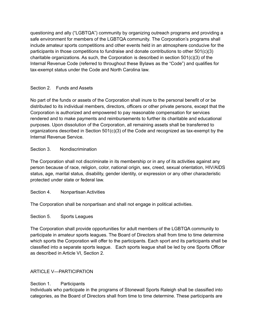questioning and ally ("LGBTQA") community by organizing outreach programs and providing a safe environment for members of the LGBTQA community. The Corporation's programs shall include amateur sports competitions and other events held in an atmosphere conducive for the participants in those competitions to fundraise and donate contributions to other 501(c)(3) charitable organizations. As such, the Corporation is described in section  $501(c)(3)$  of the Internal Revenue Code (referred to throughout these Bylaws as the "Code") and qualifies for tax-exempt status under the Code and North Carolina law.

# Section 2. Funds and Assets

No part of the funds or assets of the Corporation shall inure to the personal benefit of or be distributed to its individual members, directors, officers or other private persons, except that the Corporation is authorized and empowered to pay reasonable compensation for services rendered and to make payments and reimbursements to further its charitable and educational purposes. Upon dissolution of the Corporation, all remaining assets shall be transferred to organizations described in Section  $501(c)(3)$  of the Code and recognized as tax-exempt by the Internal Revenue Service.

## Section 3 Nondiscrimination

The Corporation shall not discriminate in its membership or in any of its activities against any person because of race, religion, color, national origin, sex, creed, sexual orientation, HIV/AIDS status, age, marital status, disability, gender identity, or expression or any other characteristic protected under state or federal law.

## Section 4. Nonpartisan Activities

The Corporation shall be nonpartisan and shall not engage in political activities.

## Section 5. Sports Leagues

The Corporation shall provide opportunities for adult members of the LGBTQA community to participate in amateur sports leagues. The Board of Directors shall from time to time determine which sports the Corporation will offer to the participants. Each sport and its participants shall be classified into a separate sports league. Each sports league shall be led by one Sports Officer as described in Article VI, Section 2.

# ARTICLE V—PARTICIPATION

# Section 1. Participants

Individuals who participate in the programs of Stonewall Sports Raleigh shall be classified into categories, as the Board of Directors shall from time to time determine. These participants are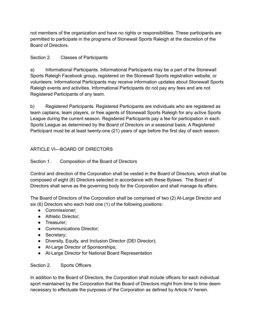not members of the organization and have no rights or responsibilities. These participants are permitted to participate in the programs of Stonewall Sports Raleigh at the discretion of the Board of Directors.

## Section 2. Classes of Participants

a) Informational Participants. Informational Participants may be a part of the Stonewall Sports Raleigh Facebook group, registered on the Stonewall Sports registration website, or volunteers. Informational Participants may receive information updates about Stonewall Sports Raleigh events and activities. Informational Participants do not pay any fees and are not Registered Participants of any team.

b) Registered Participants. Registered Participants are individuals who are registered as team captains, team players, or free agents of Stonewall Sports Raleigh for any active Sports League during the current season. Registered Participants pay a fee for participation in each Sports League as determined by the Board of Directors on a seasonal basis. A Registered Participant must be at least twenty-one (21) years of age before the first day of each season.

# ARTICLE VI—BOARD OF DIRECTORS

# Section 1. Composition of the Board of Directors

Control and direction of the Corporation shall be vested in the Board of Directors, which shall be composed of eight (8) Directors selected in accordance with these Bylaws. The Board of Directors shall serve as the governing body for the Corporation and shall manage its affairs.

The Board of Directors of the Corporation shall be comprised of two (2) At-Large Director and six (6) Directors who each hold one (1) of the following positions:

- Commissioner;
- Athletic Director;
- Treasurer;
- Communications Director;
- Secretary;
- Diversity, Equity, and Inclusion Director (DEI Director);
- At-Large Director of Sponsorships;
- At-Large Director for National Board Representation

## Section 2. Sports Officers

In addition to the Board of Directors, the Corporation shall include officers for each individual sport maintained by the Corporation that the Board of Directors might from time to time deem necessary to effectuate the purposes of the Corporation as defined by Article IV herein.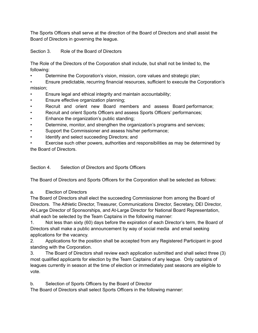The Sports Officers shall serve at the direction of the Board of Directors and shall assist the Board of Directors in governing the league.

Section 3. Role of the Board of Directors

The Role of the Directors of the Corporation shall include, but shall not be limited to, the following:

• Determine the Corporation's vision, mission, core values and strategic plan;

• Ensure predictable, recurring financial resources, sufficient to execute the Corporation's mission;

- Ensure legal and ethical integrity and maintain accountability;
- Ensure effective organization planning;
- Recruit and orient new Board members and assess Board performance;
- Recruit and orient Sports Officers and assess Sports Officers' performances;
- Enhance the organization's public standing;
- Determine, monitor, and strengthen the organization's programs and services;
- Support the Commissioner and assess his/her performance;
- Identify and select succeeding Directors; and

Exercise such other powers, authorities and responsibilities as may be determined by the Board of Directors.

Section 4. Selection of Directors and Sports Officers

The Board of Directors and Sports Officers for the Corporation shall be selected as follows:

a. Election of Directors

The Board of Directors shall elect the succeeding Commissioner from among the Board of Directors. The Athletic Director, Treasurer, Communications Director, Secretary, DEI Director, At-Large Director of Sponsorships, and At-Large Director for National Board Representation, shall each be selected by the Team Captains in the following manner:

1. Not less than sixty (60) days before the expiration of each Director's term, the Board of Directors shall make a public announcement by way of social media and email seeking applications for the vacancy.

2. Applications for the position shall be accepted from any Registered Participant in good standing with the Corporation.

3. The Board of Directors shall review each application submitted and shall select three (3) most qualified applicants for election by the Team Captains of any league. Only captains of leagues currently in season at the time of election or immediately past seasons are eligible to vote.

b. Selection of Sports Officers by the Board of Director

The Board of Directors shall select Sports Officers in the following manner: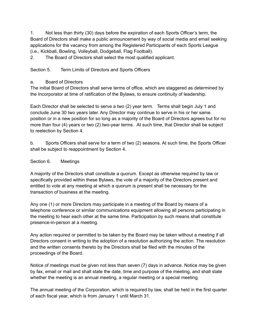1. Not less than thirty (30) days before the expiration of each Sports Officer's term, the Board of Directors shall make a public announcement by way of social media and email seeking applications for the vacancy from among the Registered Participants of each Sports League (i.e., Kickball, Bowling, Volleyball, Dodgeball, Flag Football).

2. The Board of Directors shall select the most qualified applicant.

Section 5. Term Limits of Directors and Sports Officers

## a. Board of Directors

The initial Board of Directors shall serve terms of office, which are staggered as determined by the Incorporator at time of ratification of the Bylaws, to ensure continuity of leadership.

Each Director shall be selected to serve a two (2) year term. Terms shall begin July 1 and conclude June 30 two years later. Any Director may continue to serve in his or her same position or in a new position for so long as a majority of the Board of Directors agrees but for no more than four (4) years or two (2) two-year terms. At such time, that Director shall be subject to reelection by Section 4.

b. Sports Officers shall serve for a term of two (2) seasons. At such time, the Sports Officer shall be subject to reappointment by Section 4.

Section 6. Meetings

A majority of the Directors shall constitute a quorum. Except as otherwise required by law or specifically provided within these Bylaws, the vote of a majority of the Directors present and entitled to vote at any meeting at which a quorum is present shall be necessary for the transaction of business at the meeting.

Any one (1) or more Directors may participate in a meeting of the Board by means of a telephone conference or similar communications equipment allowing all persons participating in the meeting to hear each other at the same time. Participation by such means shall constitute presence-in-person at a meeting.

Any action required or permitted to be taken by the Board may be taken without a meeting if all Directors consent in writing to the adoption of a resolution authorizing the action. The resolution and the written consents thereto by the Directors shall be filed with the minutes of the proceedings of the Board.

Notice of meetings must be given not less than seven (7) days in advance. Notice may be given by fax, email or mail and shall state the date, time and purpose of the meeting, and shall state whether the meeting is an annual meeting, a regular meeting or a special meeting.

The annual meeting of the Corporation, which is required by law, shall be held in the first quarter of each fiscal year, which is from January 1 until March 31.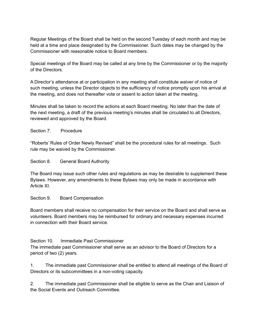Regular Meetings of the Board shall be held on the second Tuesday of each month and may be held at a time and place designated by the Commissioner. Such dates may be changed by the Commissioner with reasonable notice to Board members.

Special meetings of the Board may be called at any time by the Commissioner or by the majority of the Directors.

A Director's attendance at or participation in any meeting shall constitute waiver of notice of such meeting, unless the Director objects to the sufficiency of notice promptly upon his arrival at the meeting, and does not thereafter vote or assent to action taken at the meeting.

Minutes shall be taken to record the actions at each Board meeting. No later than the date of the next meeting, a draft of the previous meeting's minutes shall be circulated to all Directors, reviewed and approved by the Board.

## Section 7. Procedure

"Roberts' Rules of Order Newly Revised" shall be the procedural rules for all meetings. Such rule may be waived by the Commissioner.

#### Section 8. General Board Authority

The Board may issue such other rules and regulations as may be desirable to supplement these Bylaws. However, any amendments to these Bylaws may only be made in accordance with Article XI.

#### Section 9. Board Compensation

Board members shall receive no compensation for their service on the Board and shall serve as volunteers. Board members may be reimbursed for ordinary and necessary expenses incurred in connection with their Board service.

## Section 10. Immediate Past Commissioner

The immediate past Commissioner shall serve as an advisor to the Board of Directors for a period of two (2) years.

1. The immediate past Commissioner shall be entitled to attend all meetings of the Board of Directors or its subcommittees in a non-voting capacity.

2. The immediate past Commissioner shall be eligible to serve as the Chair and Liaison of the Social Events and Outreach Committee.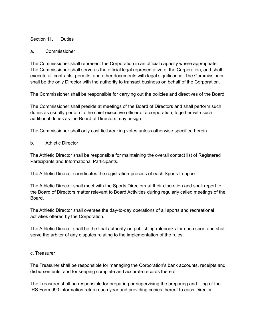#### Section 11. Duties

#### a. Commissioner

The Commissioner shall represent the Corporation in an official capacity where appropriate. The Commissioner shall serve as the official legal representative of the Corporation, and shall execute all contracts, permits, and other documents with legal significance. The Commissioner shall be the only Director with the authority to transact business on behalf of the Corporation.

The Commissioner shall be responsible for carrying out the policies and directives of the Board.

The Commissioner shall preside at meetings of the Board of Directors and shall perform such duties as usually pertain to the chief executive officer of a corporation, together with such additional duties as the Board of Directors may assign.

The Commissioner shall only cast tie-breaking votes unless otherwise specified herein.

b. Athletic Director

The Athletic Director shall be responsible for maintaining the overall contact list of Registered Participants and Informational Participants.

The Athletic Director coordinates the registration process of each Sports League.

The Athletic Director shall meet with the Sports Directors at their discretion and shall report to the Board of Directors matter relevant to Board Activities during regularly called meetings of the Board.

The Athletic Director shall oversee the day-to-day operations of all sports and recreational activities offered by the Corporation.

The Athletic Director shall be the final authority on publishing rulebooks for each sport and shall serve the arbiter of any disputes relating to the implementation of the rules.

#### c. Treasurer

The Treasurer shall be responsible for managing the Corporation's bank accounts, receipts and disbursements, and for keeping complete and accurate records thereof.

The Treasurer shall be responsible for preparing or supervising the preparing and filing of the IRS Form 990 information return each year and providing copies thereof to each Director.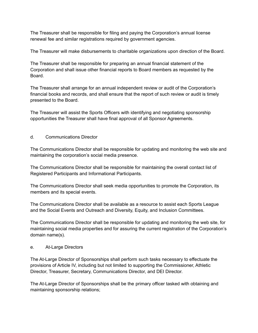The Treasurer shall be responsible for filing and paying the Corporation's annual license renewal fee and similar registrations required by government agencies.

The Treasurer will make disbursements to charitable organizations upon direction of the Board.

The Treasurer shall be responsible for preparing an annual financial statement of the Corporation and shall issue other financial reports to Board members as requested by the Board.

The Treasurer shall arrange for an annual independent review or audit of the Corporation's financial books and records, and shall ensure that the report of such review or audit is timely presented to the Board.

The Treasurer will assist the Sports Officers with identifying and negotiating sponsorship opportunities the Treasurer shall have final approval of all Sponsor Agreements.

d. Communications Director

The Communications Director shall be responsible for updating and monitoring the web site and maintaining the corporation's social media presence.

The Communications Director shall be responsible for maintaining the overall contact list of Registered Participants and Informational Participants.

The Communications Director shall seek media opportunities to promote the Corporation, its members and its special events.

The Communications Director shall be available as a resource to assist each Sports League and the Social Events and Outreach and Diversity, Equity, and Inclusion Committees.

The Communications Director shall be responsible for updating and monitoring the web site, for maintaining social media properties and for assuring the current registration of the Corporation's domain name(s).

## e. At-Large Directors

The At-Large Director of Sponsorships shall perform such tasks necessary to effectuate the provisions of Article IV, including but not limited to supporting the Commissioner, Athletic Director, Treasurer, Secretary, Communications Director, and DEI Director.

The At-Large Director of Sponsorships shall be the primary officer tasked with obtaining and maintaining sponsorship relations;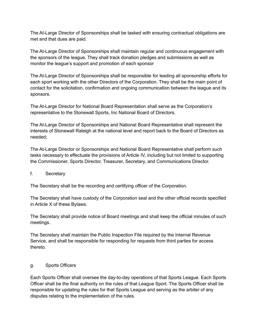The At-Large Director of Sponsorships shall be tasked with ensuring contractual obligations are met and that dues are paid.

The At-Large Director of Sponsorships shall maintain regular and continuous engagement with the sponsors of the league. They shall track donation pledges and submissions as well as monitor the league's support and promotion of each sponsor

The At-Large Director of Sponsorships shall be responsible for leading all sponsorship efforts for each sport working with the other Directors of the Corporation. They shall be the main point of contact for the solicitation, confirmation and ongoing communication between the league and its sponsors.

The At-Large Director for National Board Representation shall serve as the Corporation's representative to the Stonewall Sports, Inc National Board of Directors.

The At-Large Director of Sponsorships and National Board Representative shall represent the interests of Stonewall Raleigh at the national level and report back to the Board of Directors as needed;

The At-Large Director or Sponsorships and National Board Representative shall perform such tasks necessary to effectuate the provisions of Article IV, including but not limited to supporting the Commissioner, Sports Director, Treasurer, Secretary, and Communications Director.

f. Secretary

The Secretary shall be the recording and certifying officer of the Corporation.

The Secretary shall have custody of the Corporation seal and the other official records specified in Article X of these Bylaws.

The Secretary shall provide notice of Board meetings and shall keep the official minutes of such meetings.

The Secretary shall maintain the Public Inspection File required by the Internal Revenue Service, and shall be responsible for responding for requests from third parties for access thereto.

#### g. Sports Officers

Each Sports Officer shall oversee the day-to-day operations of that Sports League. Each Sports Officer shall be the final authority on the rules of that League Sport. The Sports Officer shall be responsible for updating the rules for that Sports League and serving as the arbiter of any disputes relating to the implementation of the rules.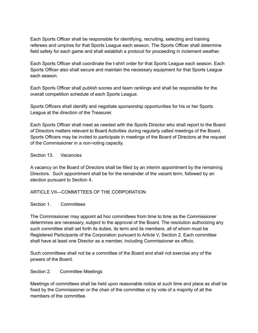Each Sports Officer shall be responsible for identifying, recruiting, selecting and training referees and umpires for that Sports League each season. The Sports Officer shall determine field safety for each game and shall establish a protocol for proceeding in inclement weather.

Each Sports Officer shall coordinate the t-shirt order for that Sports League each season. Each Sports Officer also shall secure and maintain the necessary equipment for that Sports League each season.

Each Sports Officer shall publish scores and team rankings and shall be responsible for the overall competition schedule of each Sports League.

Sports Officers shall identify and negotiate sponsorship opportunities for his or her Sports League at the direction of the Treasurer.

Each Sports Officer shall meet as needed with the Sports Director who shall report to the Board of Directors matters relevant to Board Activities during regularly called meetings of the Board. Sports Officers may be invited to participate in meetings of the Board of Directors at the request of the Commissioner in a non-voting capacity.

### Section 13. Vacancies

A vacancy on the Board of Directors shall be filled by an interim appointment by the remaining Directors. Such appointment shall be for the remainder of the vacant term, followed by an election pursuant to Section 4.

## ARTICLE VII—COMMITTEES OF THE CORPORATION

#### Section 1. Committees

The Commissioner may appoint ad hoc committees from time to time as the Commissioner determines are necessary, subject to the approval of the Board. The resolution authorizing any such committee shall set forth its duties, its term and its members, all of whom must be Registered Participants of the Corporation pursuant to Article V, Section 2. Each committee shall have at least one Director as a member, including Commissioner ex officio.

Such committees shall not be a committee of the Board and shall not exercise any of the powers of the Board.

#### Section 2. Committee Meetings

Meetings of committees shall be held upon reasonable notice at such time and place as shall be fixed by the Commissioner or the chair of the committee or by vote of a majority of all the members of the committee.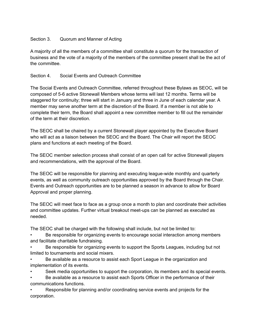## Section 3. Quorum and Manner of Acting

A majority of all the members of a committee shall constitute a quorum for the transaction of business and the vote of a majority of the members of the committee present shall be the act of the committee.

## Section 4. Social Events and Outreach Committee

The Social Events and Outreach Committee, referred throughout these Bylaws as SEOC, will be composed of 5-6 active Stonewall Members whose terms will last 12 months. Terms will be staggered for continuity; three will start in January and three in June of each calendar year. A member may serve another term at the discretion of the Board. If a member is not able to complete their term, the Board shall appoint a new committee member to fill out the remainder of the term at their discretion.

The SEOC shall be chaired by a current Stonewall player appointed by the Executive Board who will act as a liaison between the SEOC and the Board. The Chair will report the SEOC plans and functions at each meeting of the Board.

The SEOC member selection process shall consist of an open call for active Stonewall players and recommendations, with the approval of the Board.

The SEOC will be responsible for planning and executing league-wide monthly and quarterly events, as well as community outreach opportunities approved by the Board through the Chair. Events and Outreach opportunities are to be planned a season in advance to allow for Board Approval and proper planning.

The SEOC will meet face to face as a group once a month to plan and coordinate their activities and committee updates. Further virtual breakout meet-ups can be planned as executed as needed.

The SEOC shall be charged with the following shall include, but not be limited to:

• Be responsible for organizing events to encourage social interaction among members and facilitate charitable fundraising.

Be responsible for organizing events to support the Sports Leagues, including but not limited to tournaments and social mixers.

• Be available as a resource to assist each Sport League in the organization and implementation of its events.

• Seek media opportunities to support the corporation, its members and its special events.

• Be available as a resource to assist each Sports Officer in the performance of their communications functions.

• Responsible for planning and/or coordinating service events and projects for the corporation.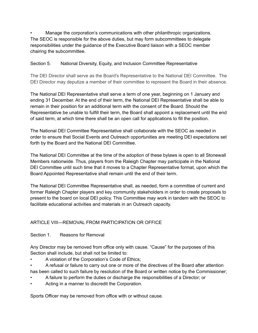• Manage the corporation's communications with other philanthropic organizations. The SEOC is responsible for the above duties, but may form subcommittees to delegate responsibilities under the guidance of the Executive Board liaison with a SEOC member chairing the subcommittee.

## Section 5. National Diversity, Equity, and Inclusion Committee Representative

The DEI Director shall serve as the Board's Representative to the National DEI Committee. The DEI Director may deputize a member of their committee to represent the Board in their absence.

The National DEI Representative shall serve a term of one year, beginning on 1 January and ending 31 December. At the end of their term, the National DEI Representative shall be able to remain in their position for an additional term with the consent of the Board. Should the Representative be unable to fulfill their term, the Board shall appoint a replacement until the end of said term, at which time there shall be an open call for applications to fill the position.

The National DEI Committee Representative shall collaborate with the SEOC as needed in order to ensure that Social Events and Outreach opportunities are meeting DEI expectations set forth by the Board and the National DEI Committee.

The National DEI Committee at the time of the adoption of these bylaws is open to all Stonewall Members nationwide. Thus, players from the Raleigh Chapter may participate in the National DEI Committee until such time that it moves to a Chapter Representative format, upon which the Board Appointed Representative shall remain until the end of their term.

The National DEI Committee Representative shall, as needed, form a committee of current and former Raleigh Chapter players and key community stakeholders in order to create proposals to present to the board on local DEI policy. This Committee may work in tandem with the SEOC to facilitate educational activities and materials in an Outreach capacity.

# ARTICLE VIII—REMOVAL FROM PARTICIPATION OR OFFICE

Section 1. Reasons for Removal

Any Director may be removed from office only with cause. "Cause" for the purposes of this Section shall include, but shall not be limited to:

- A violation of the Corporation's Code of Ethics;
- A refusal or failure to carry out one or more of the directives of the Board after attention has been called to such failure by resolution of the Board or written notice by the Commissioner;
- A failure to perform the duties or discharge the responsibilities of a Director; or
- Acting in a manner to discredit the Corporation.

Sports Officer may be removed from office with or without cause.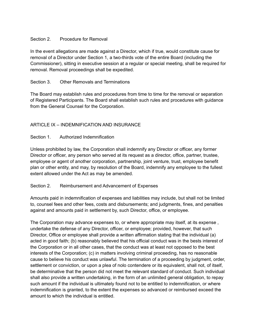## Section 2. Procedure for Removal

In the event allegations are made against a Director, which if true, would constitute cause for removal of a Director under Section 1, a two-thirds vote of the entire Board (including the Commissioner), sitting in executive session at a regular or special meeting, shall be required for removal. Removal proceedings shall be expedited.

## Section 3. Other Removals and Terminations

The Board may establish rules and procedures from time to time for the removal or separation of Registered Participants. The Board shall establish such rules and procedures with guidance from the General Counsel for the Corporation.

## ARTICLE IX – INDEMNIFICATION AND INSURANCE

#### Section 1. Authorized Indemnification

Unless prohibited by law, the Corporation shall indemnify any Director or officer, any former Director or officer, any person who served at its request as a director, office, partner, trustee, employee or agent of another corporation, partnership, joint venture, trust, employee benefit plan or other entity, and may, by resolution of the Board, indemnify any employee to the fullest extent allowed under the Act as may be amended.

#### Section 2. Reimbursement and Advancement of Expenses

Amounts paid in indemnification of expenses and liabilities may include, but shall not be limited to, counsel fees and other fees, costs and disbursements; and judgments, fines, and penalties against and amounts paid in settlement by, such Director, office, or employee.

The Corporation may advance expenses to, or where appropriate may itself, at its expense , undertake the defense of any Director, officer, or employee; provided, however, that such Director, Office or employee shall provide a written affirmation stating that the individual (a) acted in good faith; (b) reasonably believed that his official conduct was in the bests interest of the Corporation or in all other cases, that the conduct was at least not opposed to the best interests of the Corporation; (c) in matters involving criminal proceeding, has no reasonable cause to believe his conduct was unlawful. The termination of a proceeding by judgment, order, settlement or conviction, or upon a plea of nolo contendere or its equivalent, shall not, of itself, be determinative that the person did not meet the relevant standard of conduct. Such individual shall also provide a written undertaking, in the form of an unlimited general obligation, to repay such amount if the individual is ultimately found not to be entitled to indemnification, or where indemnification is granted, to the extent the expenses so advanced or reimbursed exceed the amount to which the individual is entitled.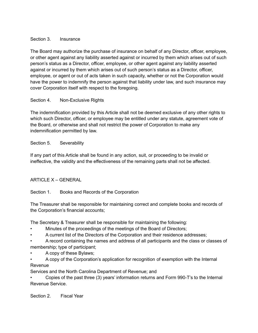## Section 3. Insurance

The Board may authorize the purchase of insurance on behalf of any Director, officer, employee, or other agent against any liability asserted against or incurred by them which arises out of such person's status as a Director, officer, employee, or other agent against any liability asserted against or incurred by them which arises out of such person's status as a Director, officer, employee, or agent or out of acts taken in such capacity, whether or not the Corporation would have the power to indemnify the person against that liability under law, and such insurance may cover Corporation itself with respect to the foregoing.

## Section 4. Non-Exclusive Rights

The indemnification provided by this Article shall not be deemed exclusive of any other rights to which such Director, officer, or employee may be entitled under any statute, agreement vote of the Board, or otherwise and shall not restrict the power of Corporation to make any indemnification permitted by law.

## Section 5. Severability

If any part of this Article shall be found in any action, suit, or proceeding to be invalid or ineffective, the validity and the effectiveness of the remaining parts shall not be affected.

## ARTICLE X – GENERAL

## Section 1. Books and Records of the Corporation

The Treasurer shall be responsible for maintaining correct and complete books and records of the Corporation's financial accounts;

The Secretary & Treasurer shall be responsible for maintaining the following:

- Minutes of the proceedings of the meetings of the Board of Directors;
- A current list of the Directors of the Corporation and their residence addresses;
- A record containing the names and address of all participants and the class or classes of membership; type of participant;
- A copy of these Bylaws;
- A copy of the Corporation's application for recognition of exemption with the Internal Revenue

Services and the North Carolina Department of Revenue; and

• Copies of the past three (3) years' information returns and Form 990-T's to the Internal Revenue Service.

Section 2. Fiscal Year